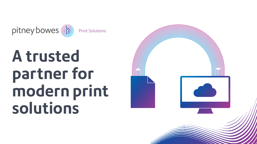# **A trusted partner for modern print solutions**





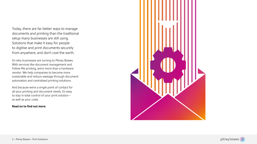Today, there are far better ways to manage documents and printing than the traditional setup many businesses are still using. Solutions that make it easy for people to digitise and print documents securely from anywhere, and don't cost the earth.

It's why businesses are turning to Pitney Bowes. With services like document management and Follow Me printing, we're more than a hardware vendor. We help companies to become more sustainable and reduce wastage through document automation and centralised printing solutions.

And because we're a single point of contact for all your printing and document needs, it's easy to stay in total control of your print solution – as well as your costs.

#### **Read on to find out more.**





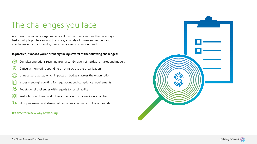#### **In practice, it means you're probably facing several of the following challenges:**



Complex operations resulting from a combination of hardware makes and models

- E\$ Difficulty monitoring spending on print across the organisation
- Unnecessary waste, which impacts on budgets across the organisation
- Issues meeting/reporting for regulations and compliance requirements
- Reputational challenges with regards to sustainability
- Restrictions on how productive and efficient your workforce can be
- ௹ Slow processing and sharing of documents coming into the organisation

# The challenges you face

A surprising number of organisations still run the print solutions they've always had – multiple printers around the office, a variety of makes and models and maintenance contracts, and systems that are mostly unmonitored.

#### **It's time for a new way of working.**



pitney bowes ((b)

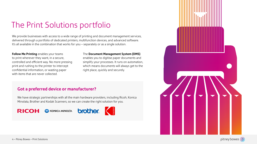# The Print Solutions portfolio

We provide businesses with access to a wide range of printing and document management services, delivered through a portfolio of dedicated printers, multifunction devices, and advanced software. It's all available in the combination that works for you – separately or as a single solution.

**Follow Me Printing** enables your teams to print wherever they want, in a secure, controlled and efficient way. No more pressing print and rushing to the printer to intercept confidential information, or wasting paper with items that are never collected.

#### The **Document Management System (DMS)**

enables you to digitise paper documents and simplify your processes. It runs on automation, which means documents will always get to the right place, quickly and securely.

### **Got a preferred device or manufacturer?**

We have strategic partnerships with all the main hardware providers, including Ricoh, Konica Minolata, Brother and Kodak Scanners, so we can create the right solution for you.

**RICOH** KONICA MINOLTA





pitney bowes (a)

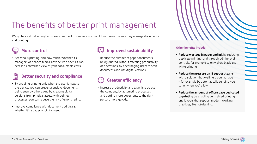### **More control**

#### **Better security and compliance Dititle**

• See who is printing, and how much. Whether it's managers or finance teams, anyone who needs it can access a centralised view of your consumable costs.

- By enabling printing only when the user is next to the device, you can prevent sensitive documents being seen by others. And by creating digital versions from physical assets, with defined processes, you can reduce the risk of error sharing.
- Improve compliance with document audit trails, whether it's a paper or digital asset.



We go beyond delivering hardware to support businesses who want to improve the way they manage documents and printing.



### **Improved sustainability**

• Reduce the number of paper documents being printed, without affecting productivity or operations, by encouraging users to scan documents and use digital versions.

## **Greater efficiency**

• Increase productivity and save time across the company, by automating processes and getting more documents to the right



person, more quickly.

# The benefits of better print management

#### **Other benefits include:**

- **Reduce wastage in paper and ink** by reducing duplicate printing, and through admin-level controls, for example to only allow black and white printing.
- **Reduce the pressure on IT support teams**  with a solution that we'll help you manage – for example by automatically sending you toner when you're low.
- **Reduce the amount of office space dedicated to printing** by enabling centralised printing and layouts that support modern working practices, like hot-desking.

|              | $\mathbf{L}$                                                                                                                                                                                                                         |                                                                                                                                                                                                                                      |  |
|--------------|--------------------------------------------------------------------------------------------------------------------------------------------------------------------------------------------------------------------------------------|--------------------------------------------------------------------------------------------------------------------------------------------------------------------------------------------------------------------------------------|--|
| $\mathbf{r}$ | $\mathbf{r}$                                                                                                                                                                                                                         |                                                                                                                                                                                                                                      |  |
|              |                                                                                                                                                                                                                                      |                                                                                                                                                                                                                                      |  |
|              |                                                                                                                                                                                                                                      |                                                                                                                                                                                                                                      |  |
|              |                                                                                                                                                                                                                                      | <b>Contract Contract Contract Contract Contract Contract Contract Contract Contract Contract Contract Contract Contract Contract Contract Contract Contract Contract Contract Contract Contract Contract Contract Contract Contr</b> |  |
|              |                                                                                                                                                                                                                                      |                                                                                                                                                                                                                                      |  |
|              | $\overline{\phantom{0}}$                                                                                                                                                                                                             |                                                                                                                                                                                                                                      |  |
|              | <b>Contract Contract Contract</b>                                                                                                                                                                                                    |                                                                                                                                                                                                                                      |  |
|              | <b>Contract Contract Contract Contract Contract Contract Contract Contract Contract Contract Contract Contract Contract Contract Contract Contract Contract Contract Contract Contract Contract Contract Contract Contract Contr</b> |                                                                                                                                                                                                                                      |  |
|              | <b>Report</b>                                                                                                                                                                                                                        |                                                                                                                                                                                                                                      |  |
|              | <b>Contract Contract Contract Contract Contract Contract Contract Contract Contract Contract Contract Contract Contract Contract Contract Contract Contract Contract Contract Contract Contract Contract Contract Contract Contr</b> |                                                                                                                                                                                                                                      |  |
|              | <b>The Company</b>                                                                                                                                                                                                                   |                                                                                                                                                                                                                                      |  |
|              |                                                                                                                                                                                                                                      |                                                                                                                                                                                                                                      |  |
|              |                                                                                                                                                                                                                                      |                                                                                                                                                                                                                                      |  |
|              |                                                                                                                                                                                                                                      |                                                                                                                                                                                                                                      |  |
|              |                                                                                                                                                                                                                                      |                                                                                                                                                                                                                                      |  |
|              |                                                                                                                                                                                                                                      |                                                                                                                                                                                                                                      |  |
|              |                                                                                                                                                                                                                                      |                                                                                                                                                                                                                                      |  |
|              |                                                                                                                                                                                                                                      |                                                                                                                                                                                                                                      |  |
|              |                                                                                                                                                                                                                                      |                                                                                                                                                                                                                                      |  |
|              |                                                                                                                                                                                                                                      |                                                                                                                                                                                                                                      |  |
|              |                                                                                                                                                                                                                                      |                                                                                                                                                                                                                                      |  |
|              |                                                                                                                                                                                                                                      |                                                                                                                                                                                                                                      |  |

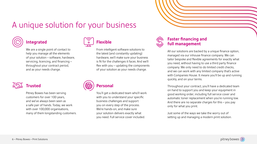### **Integrated**

We are a single point of contact to help you manage all the elements of your solution – software, hardware, servicing, licencing, and financing – throughout your contract period, and as your needs change.



### **Faster financing and full management**

All our solutions are backed by a unique finance option, managed via our inhouse finance company. We can tailor bespoke and flexible agreements for exactly what you need, without having to use a third party finance company. We only need to do limited credit checks, and we can work with any limited company that's active with Companies House. It means you'll be up and running quickly, and on your terms.

Throughout your contract, you'll have a dedicated team on hand to support you and keep your equipment in good working order, including full service cover and automatic toner replacement when you're running low. And there are no separate charges for this – you pay only for what you print.

You'll get a dedicated team who'll work with you to understand your specific business challenges and support you on every step of the process. We're hands-on, and make sure your solution delivers exactly what you need. Full service cover included.

Just some of the ways we take the worry out of setting up and managing a modern print solution.



Pitney Bowes has been serving customers for over 100 years, and we've always been seen as a safe pair of hands. Today, we work with over 100,000 organisations, many of them longstanding customers.



# A unique solution for your business



### **Flexible**

From intelligent software solutions to the latest (and constantly updating) hardware, we'll make sure your business is fit for the challenges it faces. And we'll flex with you – updating the components of your solution as your needs change.

### **Personal**



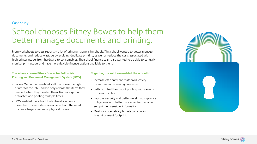# School chooses Pitney Bowes to help them better manage documents and printing.

From worksheets to class reports – a lot of printing happens in schools. This school wanted to better manage documents, and reduce wastage by avoiding duplicate printing, as well as reduce the costs associated with high printer usage, from hardware to consumables. The school finance team also wanted to be able to centrally monitor print usage, and have more flexible finance options available to them.

#### Case study:

#### **The school choose Pitney Bowes for Follow Me Printing and Document Management System (DMS).**

- Follow Me Printing enabled staff to choose the right printer for the job – and to only release the items they needed, when they needed them. No more getting distracted and printing multiple times.
- DMS enabled the school to digitise documents to make them more widely available without the need to create large volumes of physical copies.

#### **Together, the solution enabled the school to:**

- Increase efficiency and staff productivity by automating scanning processes.
- Better control the cost of printing with savings on consumables.
- Improve security and better meet its compliance obligations with better processes for managing and printing sensitive information.
- Meet its sustainability targets by reducing its environment footprint.



pitney bowes ((b)